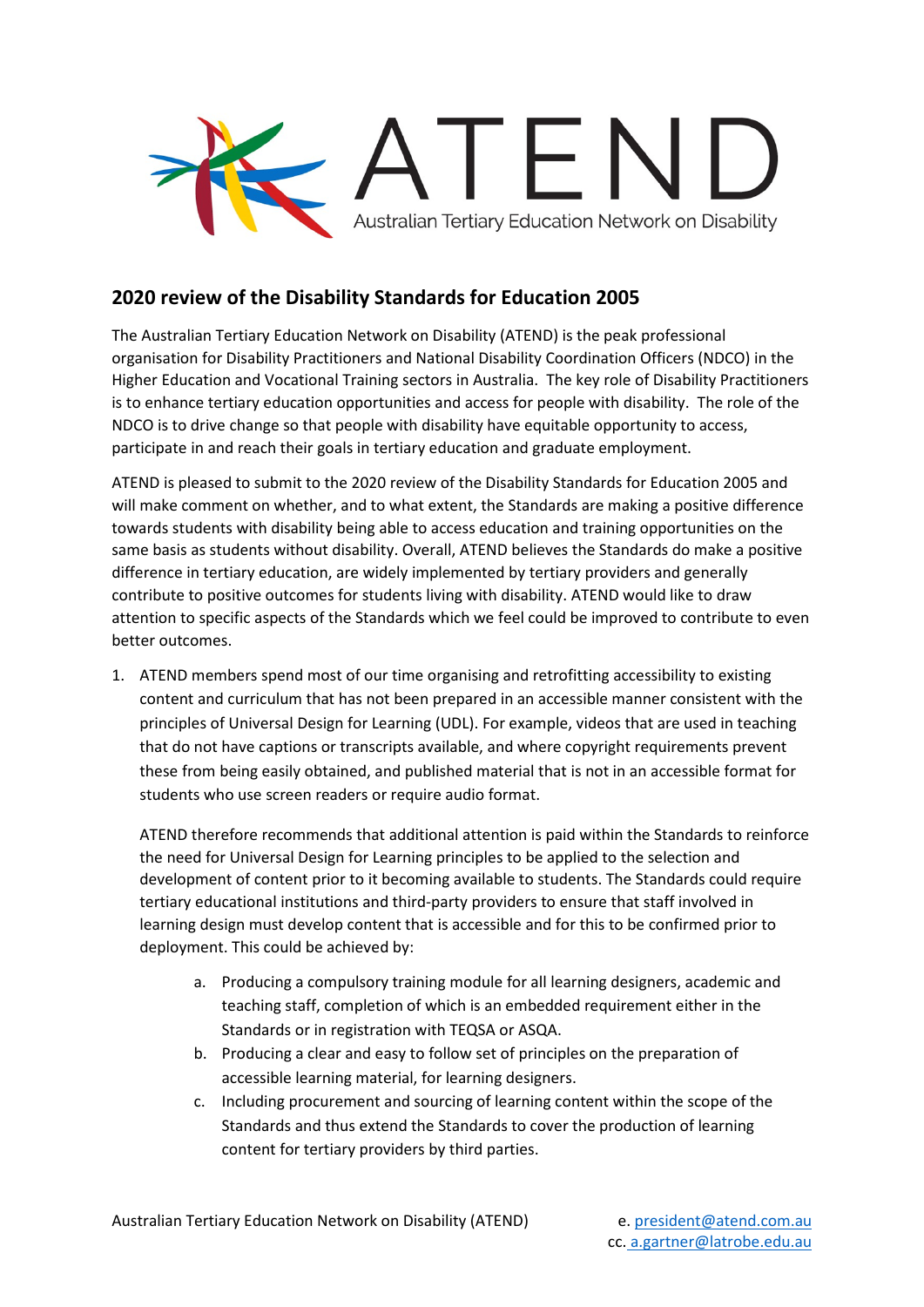

## **2020 review of the Disability Standards for Education 2005**

The Australian Tertiary Education Network on Disability (ATEND) is the peak professional organisation for Disability Practitioners and National Disability Coordination Officers (NDCO) in the Higher Education and Vocational Training sectors in Australia. The key role of Disability Practitioners is to enhance tertiary education opportunities and access for people with disability. The role of the NDCO is to drive change so that people with disability have equitable opportunity to access, participate in and reach their goals in tertiary education and graduate employment.

ATEND is pleased to submit to the 2020 review of the Disability Standards for Education 2005 and will make comment on whether, and to what extent, the Standards are making a positive difference towards students with disability being able to access education and training opportunities on the same basis as students without disability. Overall, ATEND believes the Standards do make a positive difference in tertiary education, are widely implemented by tertiary providers and generally contribute to positive outcomes for students living with disability. ATEND would like to draw attention to specific aspects of the Standards which we feel could be improved to contribute to even better outcomes.

1. ATEND members spend most of our time organising and retrofitting accessibility to existing content and curriculum that has not been prepared in an accessible manner consistent with the principles of Universal Design for Learning (UDL). For example, videos that are used in teaching that do not have captions or transcripts available, and where copyright requirements prevent these from being easily obtained, and published material that is not in an accessible format for students who use screen readers or require audio format.

ATEND therefore recommends that additional attention is paid within the Standards to reinforce the need for Universal Design for Learning principles to be applied to the selection and development of content prior to it becoming available to students. The Standards could require tertiary educational institutions and third-party providers to ensure that staff involved in learning design must develop content that is accessible and for this to be confirmed prior to deployment. This could be achieved by:

- a. Producing a compulsory training module for all learning designers, academic and teaching staff, completion of which is an embedded requirement either in the Standards or in registration with TEQSA or ASQA.
- b. Producing a clear and easy to follow set of principles on the preparation of accessible learning material, for learning designers.
- c. Including procurement and sourcing of learning content within the scope of the Standards and thus extend the Standards to cover the production of learning content for tertiary providers by third parties.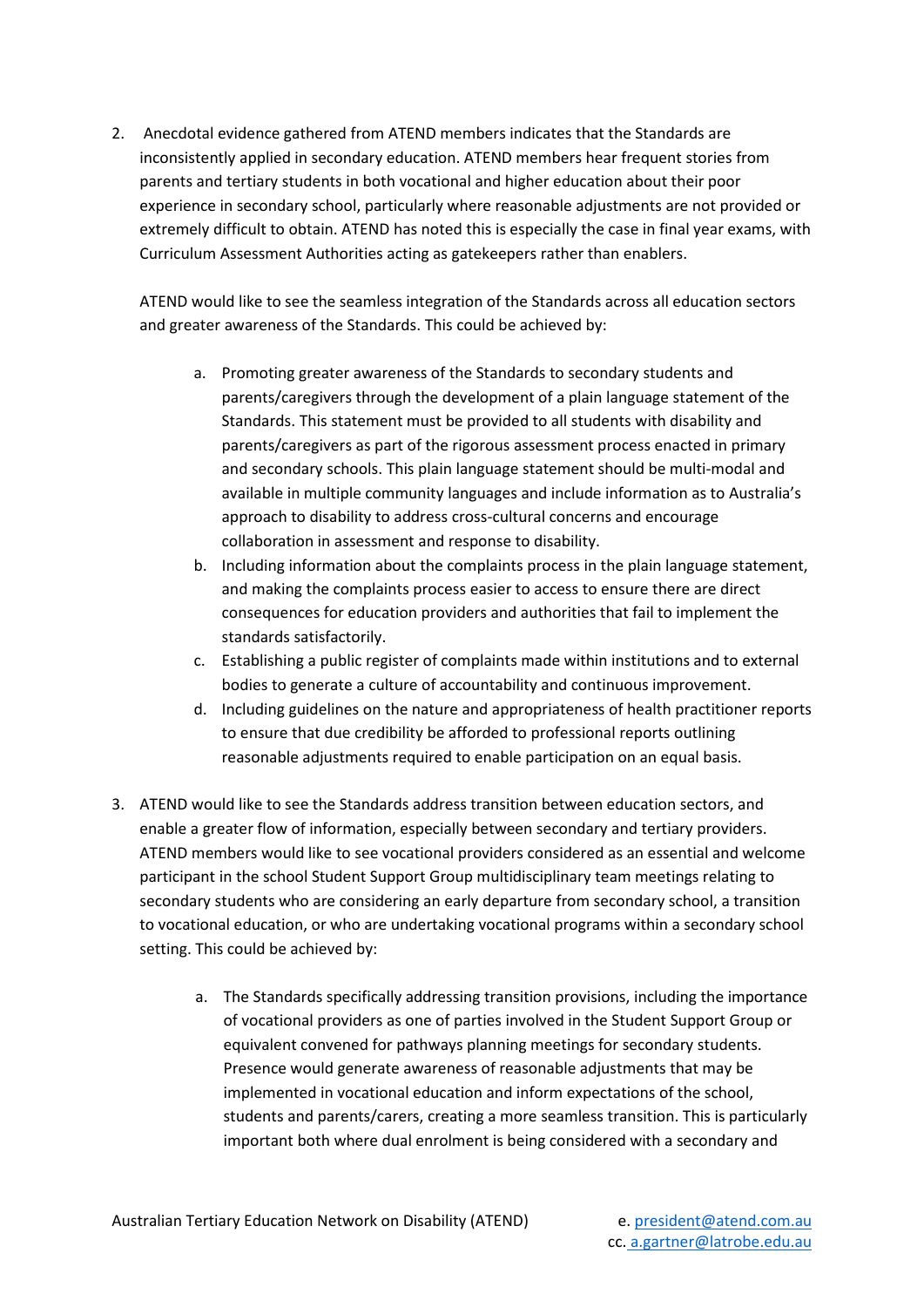2. Anecdotal evidence gathered from ATEND members indicates that the Standards are inconsistently applied in secondary education. ATEND members hear frequent stories from parents and tertiary students in both vocational and higher education about their poor experience in secondary school, particularly where reasonable adjustments are not provided or extremely difficult to obtain. ATEND has noted this is especially the case in final year exams, with Curriculum Assessment Authorities acting as gatekeepers rather than enablers.

ATEND would like to see the seamless integration of the Standards across all education sectors and greater awareness of the Standards. This could be achieved by:

- a. Promoting greater awareness of the Standards to secondary students and parents/caregivers through the development of a plain language statement of the Standards. This statement must be provided to all students with disability and parents/caregivers as part of the rigorous assessment process enacted in primary and secondary schools. This plain language statement should be multi-modal and available in multiple community languages and include information as to Australia's approach to disability to address cross-cultural concerns and encourage collaboration in assessment and response to disability.
- b. Including information about the complaints process in the plain language statement, and making the complaints process easier to access to ensure there are direct consequences for education providers and authorities that fail to implement the standards satisfactorily.
- c. Establishing a public register of complaints made within institutions and to external bodies to generate a culture of accountability and continuous improvement.
- d. Including guidelines on the nature and appropriateness of health practitioner reports to ensure that due credibility be afforded to professional reports outlining reasonable adjustments required to enable participation on an equal basis.
- 3. ATEND would like to see the Standards address transition between education sectors, and enable a greater flow of information, especially between secondary and tertiary providers. ATEND members would like to see vocational providers considered as an essential and welcome participant in the school Student Support Group multidisciplinary team meetings relating to secondary students who are considering an early departure from secondary school, a transition to vocational education, or who are undertaking vocational programs within a secondary school setting. This could be achieved by:
	- a. The Standards specifically addressing transition provisions, including the importance of vocational providers as one of parties involved in the Student Support Group or equivalent convened for pathways planning meetings for secondary students. Presence would generate awareness of reasonable adjustments that may be implemented in vocational education and inform expectations of the school, students and parents/carers, creating a more seamless transition. This is particularly important both where dual enrolment is being considered with a secondary and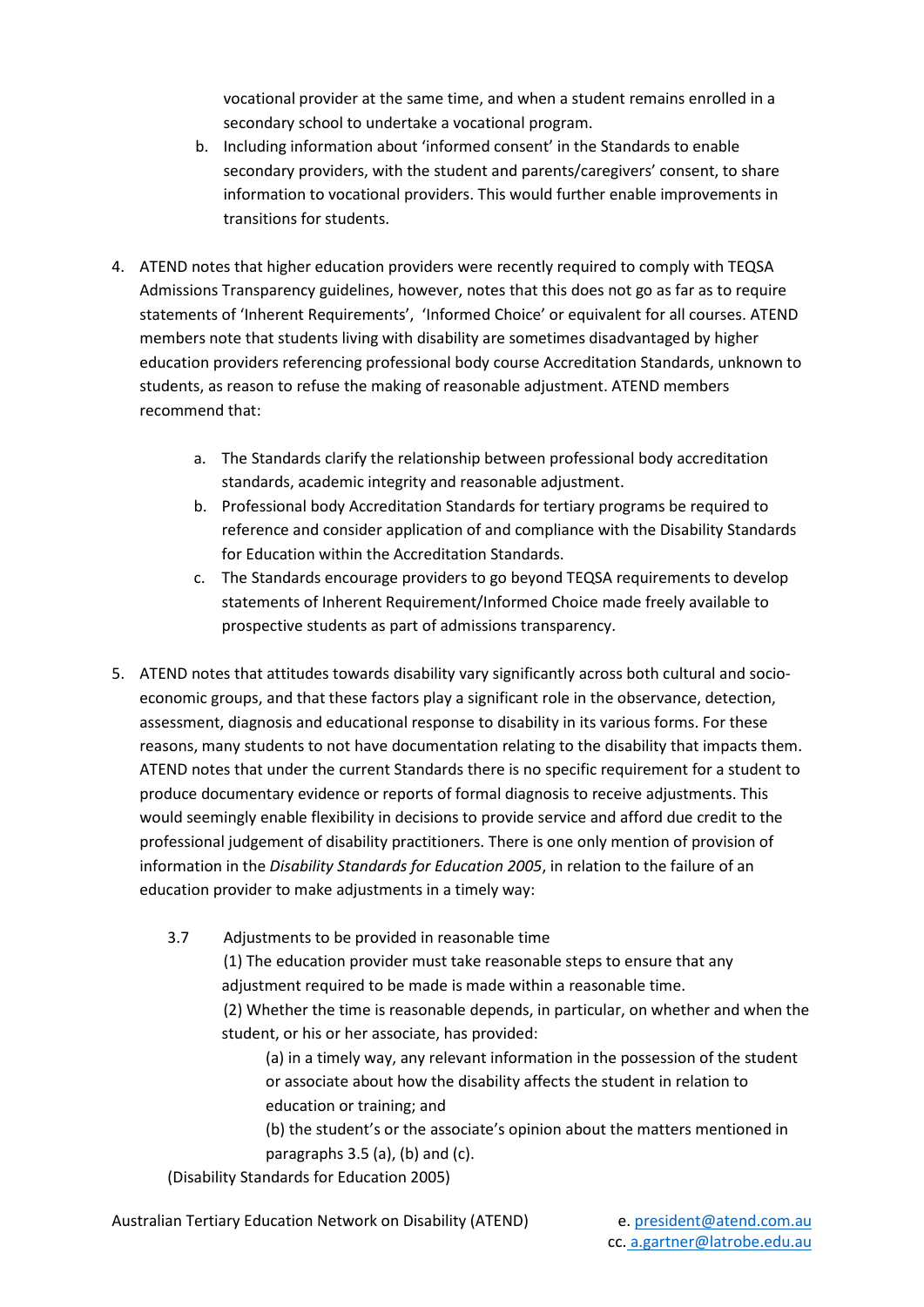vocational provider at the same time, and when a student remains enrolled in a secondary school to undertake a vocational program.

- b. Including information about 'informed consent' in the Standards to enable secondary providers, with the student and parents/caregivers' consent, to share information to vocational providers. This would further enable improvements in transitions for students.
- 4. ATEND notes that higher education providers were recently required to comply with TEQSA Admissions Transparency guidelines, however, notes that this does not go as far as to require statements of 'Inherent Requirements', 'Informed Choice' or equivalent for all courses. ATEND members note that students living with disability are sometimes disadvantaged by higher education providers referencing professional body course Accreditation Standards, unknown to students, as reason to refuse the making of reasonable adjustment. ATEND members recommend that:
	- a. The Standards clarify the relationship between professional body accreditation standards, academic integrity and reasonable adjustment.
	- b. Professional body Accreditation Standards for tertiary programs be required to reference and consider application of and compliance with the Disability Standards for Education within the Accreditation Standards.
	- c. The Standards encourage providers to go beyond TEQSA requirements to develop statements of Inherent Requirement/Informed Choice made freely available to prospective students as part of admissions transparency.
- 5. ATEND notes that attitudes towards disability vary significantly across both cultural and socioeconomic groups, and that these factors play a significant role in the observance, detection, assessment, diagnosis and educational response to disability in its various forms. For these reasons, many students to not have documentation relating to the disability that impacts them. ATEND notes that under the current Standards there is no specific requirement for a student to produce documentary evidence or reports of formal diagnosis to receive adjustments. This would seemingly enable flexibility in decisions to provide service and afford due credit to the professional judgement of disability practitioners. There is one only mention of provision of information in the *Disability Standards for Education 2005*, in relation to the failure of an education provider to make adjustments in a timely way:
	- 3.7 Adjustments to be provided in reasonable time

 (1) The education provider must take reasonable steps to ensure that any adjustment required to be made is made within a reasonable time.

 (2) Whether the time is reasonable depends, in particular, on whether and when the student, or his or her associate, has provided:

 (a) in a timely way, any relevant information in the possession of the student or associate about how the disability affects the student in relation to education or training; and

 (b) the student's or the associate's opinion about the matters mentioned in paragraphs 3.5 (a), (b) and (c).

(Disability Standards for Education 2005)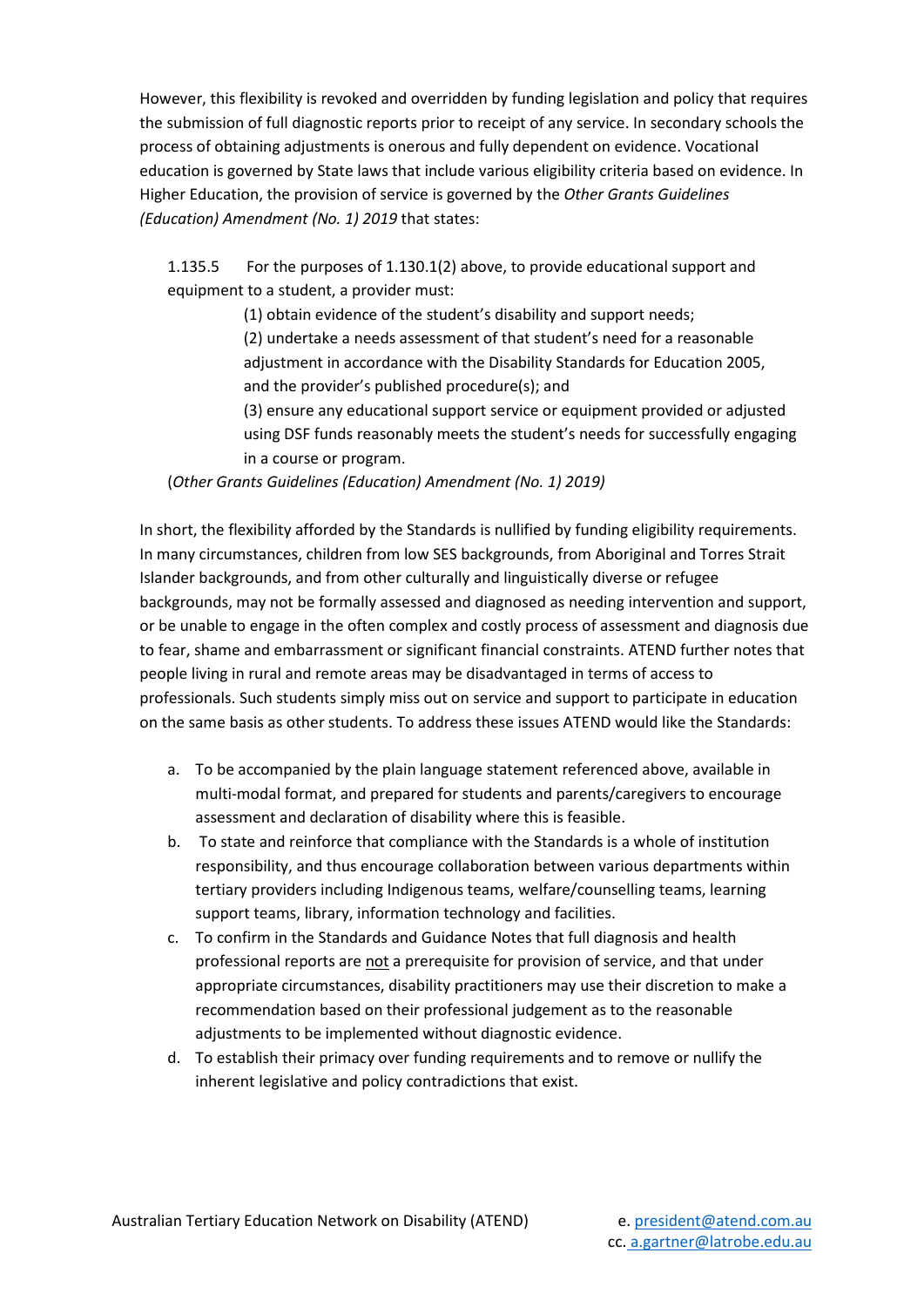However, this flexibility is revoked and overridden by funding legislation and policy that requires the submission of full diagnostic reports prior to receipt of any service. In secondary schools the process of obtaining adjustments is onerous and fully dependent on evidence. Vocational education is governed by State laws that include various eligibility criteria based on evidence. In Higher Education, the provision of service is governed by the *Other Grants Guidelines (Education) Amendment (No. 1) 2019* that states:

1.135.5 For the purposes of 1.130.1(2) above, to provide educational support and equipment to a student, a provider must:

(1) obtain evidence of the student's disability and support needs;

(2) undertake a needs assessment of that student's need for a reasonable adjustment in accordance with the Disability Standards for Education 2005, and the provider's published procedure(s); and

(3) ensure any educational support service or equipment provided or adjusted using DSF funds reasonably meets the student's needs for successfully engaging in a course or program.

(*Other Grants Guidelines (Education) Amendment (No. 1) 2019)* 

In short, the flexibility afforded by the Standards is nullified by funding eligibility requirements. In many circumstances, children from low SES backgrounds, from Aboriginal and Torres Strait Islander backgrounds, and from other culturally and linguistically diverse or refugee backgrounds, may not be formally assessed and diagnosed as needing intervention and support, or be unable to engage in the often complex and costly process of assessment and diagnosis due to fear, shame and embarrassment or significant financial constraints. ATEND further notes that people living in rural and remote areas may be disadvantaged in terms of access to professionals. Such students simply miss out on service and support to participate in education on the same basis as other students. To address these issues ATEND would like the Standards:

- a. To be accompanied by the plain language statement referenced above, available in multi-modal format, and prepared for students and parents/caregivers to encourage assessment and declaration of disability where this is feasible.
- b. To state and reinforce that compliance with the Standards is a whole of institution responsibility, and thus encourage collaboration between various departments within tertiary providers including Indigenous teams, welfare/counselling teams, learning support teams, library, information technology and facilities.
- c. To confirm in the Standards and Guidance Notes that full diagnosis and health professional reports are not a prerequisite for provision of service, and that under appropriate circumstances, disability practitioners may use their discretion to make a recommendation based on their professional judgement as to the reasonable adjustments to be implemented without diagnostic evidence.
- d. To establish their primacy over funding requirements and to remove or nullify the inherent legislative and policy contradictions that exist.